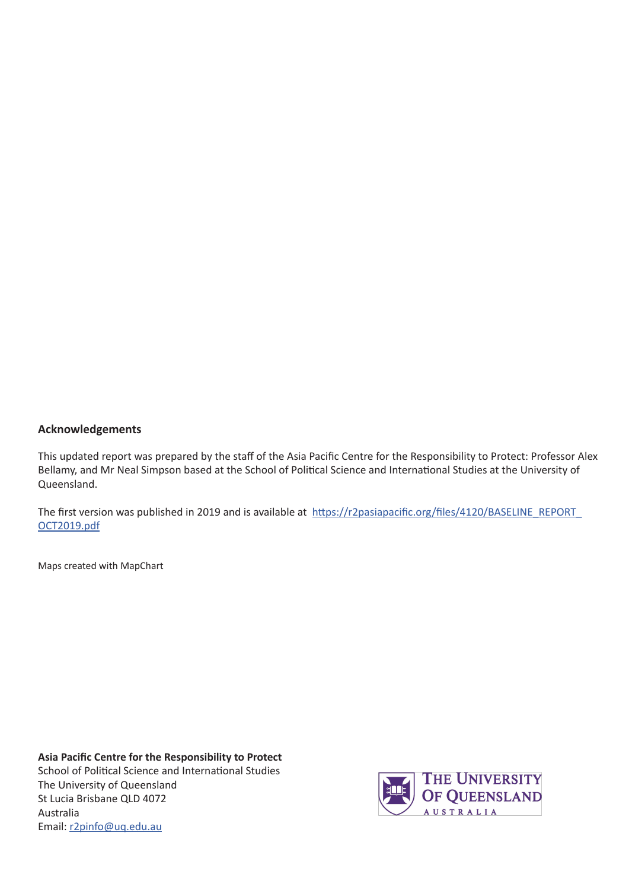### **Acknowledgements**

This updated report was prepared by the staff of the Asia Pacific Centre for the Responsibility to Protect: Professor Alex Bellamy, and Mr Neal Simpson based at the School of Political Science and International Studies at the University of Queensland.

The first version was published in 2019 and is available at https://r2pasiapacific.org/files/4120/BASELINE\_REPORT\_ OCT2019.pdf

Maps created with MapChart

**Asia Pacific Centre for the Responsibility to Protect** School of Political Science and International Studies The University of Queensland St Lucia Brisbane QLD 4072 Australia Email: r2pinfo@uq.edu.au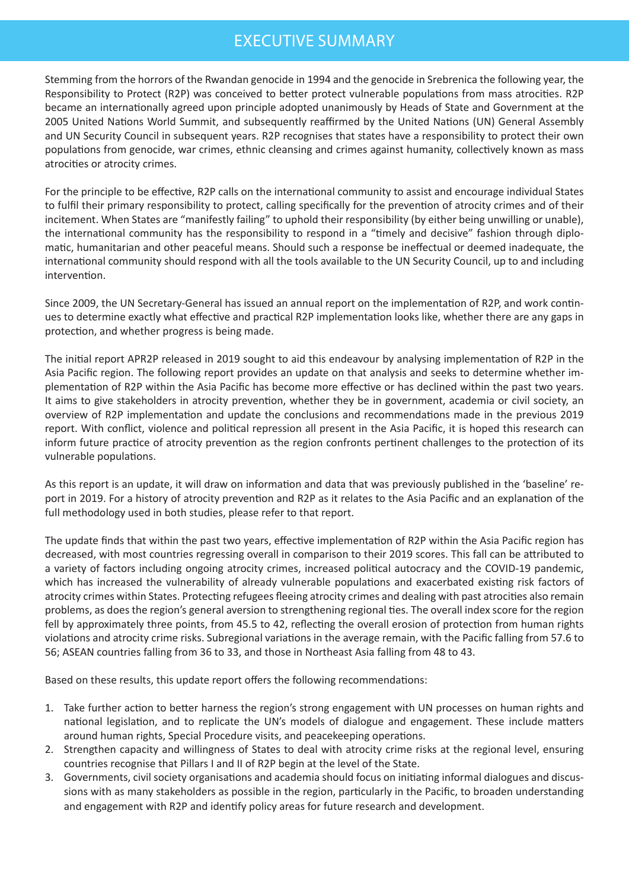# EXECUTIVE SUMMARY

Stemming from the horrors of the Rwandan genocide in 1994 and the genocide in Srebrenica the following year, the Responsibility to Protect (R2P) was conceived to better protect vulnerable populations from mass atrocities. R2P became an internationally agreed upon principle adopted unanimously by Heads of State and Government at the 2005 United Nations World Summit, and subsequently reaffirmed by the United Nations (UN) General Assembly and UN Security Council in subsequent years. R2P recognises that states have a responsibility to protect their own populations from genocide, war crimes, ethnic cleansing and crimes against humanity, collectively known as mass atrocities or atrocity crimes.

For the principle to be effective, R2P calls on the international community to assist and encourage individual States to fulfil their primary responsibility to protect, calling specifically for the prevention of atrocity crimes and of their incitement. When States are "manifestly failing" to uphold their responsibility (by either being unwilling or unable), the international community has the responsibility to respond in a "timely and decisive" fashion through diplomatic, humanitarian and other peaceful means. Should such a response be ineffectual or deemed inadequate, the international community should respond with all the tools available to the UN Security Council, up to and including intervention.

Since 2009, the UN Secretary-General has issued an annual report on the implementation of R2P, and work continues to determine exactly what effective and practical R2P implementation looks like, whether there are any gaps in protection, and whether progress is being made.

The initial report APR2P released in 2019 sought to aid this endeavour by analysing implementation of R2P in the Asia Pacific region. The following report provides an update on that analysis and seeks to determine whether implementation of R2P within the Asia Pacific has become more effective or has declined within the past two years. It aims to give stakeholders in atrocity prevention, whether they be in government, academia or civil society, an overview of R2P implementation and update the conclusions and recommendations made in the previous 2019 report. With conflict, violence and political repression all present in the Asia Pacific, it is hoped this research can inform future practice of atrocity prevention as the region confronts pertinent challenges to the protection of its vulnerable populations.

As this report is an update, it will draw on information and data that was previously published in the 'baseline' report in 2019. For a history of atrocity prevention and R2P as it relates to the Asia Pacific and an explanation of the full methodology used in both studies, please refer to that report.

The update finds that within the past two years, effective implementation of R2P within the Asia Pacific region has decreased, with most countries regressing overall in comparison to their 2019 scores. This fall can be attributed to a variety of factors including ongoing atrocity crimes, increased political autocracy and the COVID-19 pandemic, which has increased the vulnerability of already vulnerable populations and exacerbated existing risk factors of atrocity crimes within States. Protecting refugees fleeing atrocity crimes and dealing with past atrocities also remain problems, as does the region's general aversion to strengthening regional ties. The overall index score for the region fell by approximately three points, from 45.5 to 42, reflecting the overall erosion of protection from human rights violations and atrocity crime risks. Subregional variations in the average remain, with the Pacific falling from 57.6 to 56; ASEAN countries falling from 36 to 33, and those in Northeast Asia falling from 48 to 43.

Based on these results, this update report offers the following recommendations:

- 1. Take further action to better harness the region's strong engagement with UN processes on human rights and national legislation, and to replicate the UN's models of dialogue and engagement. These include matters around human rights, Special Procedure visits, and peacekeeping operations.
- 2. Strengthen capacity and willingness of States to deal with atrocity crime risks at the regional level, ensuring countries recognise that Pillars I and II of R2P begin at the level of the State.
- 3. Governments, civil society organisations and academia should focus on initiating informal dialogues and discussions with as many stakeholders as possible in the region, particularly in the Pacific, to broaden understanding and engagement with R2P and identify policy areas for future research and development.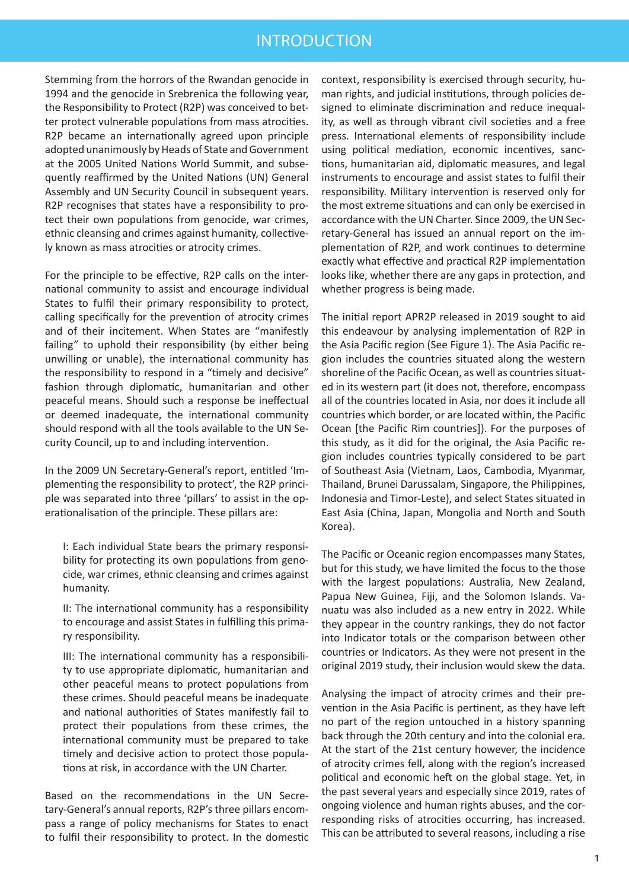### INTRODUCTION

Stemming from the horrors of the Rwandan genocide in 1994 and the genocide in Srebrenica the following year, the Responsibility to Protect (R2P) was conceived to better protect vulnerable populations from mass atrocities. R2P became an internationally agreed upon principle adopted unanimously by Heads of State and Government at the 2005 United Nations World Summit, and subsequently reaffirmed by the United Nations (UN) General Assembly and UN Security Council in subsequent years. R2P recognises that states have a responsibility to protect their own populations from genocide, war crimes, ethnic cleansing and crimes against humanity, collectively known as mass atrocities or atrocity crimes.

For the principle to be effective, R2P calls on the international community to assist and encourage individual States to fulfil their primary responsibility to protect, calling specifically for the prevention of atrocity crimes and of their incitement. When States are "manifestly failing" to uphold their responsibility (by either being unwilling or unable), the international community has the responsibility to respond in a "timely and decisive" fashion through diplomatic, humanitarian and other peaceful means. Should such a response be ineffectual or deemed inadequate, the international community should respond with all the tools available to the UN Security Council, up to and including intervention.

In the 2009 UN Secretary-General's report, entitled 'Implementing the responsibility to protect', the R2P principle was separated into three 'pillars' to assist in the operationalisation of the principle. These pillars are:

I: Each individual State bears the primary responsibility for protecting its own populations from genocide, war crimes, ethnic cleansing and crimes against humanity.

II: The international community has a responsibility to encourage and assist States in fulfilling this primary responsibility.

III: The international community has a responsibility to use appropriate diplomatic, humanitarian and other peaceful means to protect populations from these crimes. Should peaceful means be inadequate and national authorities of States manifestly fail to protect their populations from these crimes, the international community must be prepared to take timely and decisive action to protect those populations at risk, in accordance with the UN Charter.

Based on the recommendations in the UN Secretary-General's annual reports, R2P's three pillars encompass a range of policy mechanisms for States to enact to fulfil their responsibility to protect. In the domestic context, responsibility is exercised through security, human rights, and judicial institutions, through policies designed to eliminate discrimination and reduce inequality, as well as through vibrant civil societies and a free press. International elements of responsibility include using political mediation, economic incentives, sanctions, humanitarian aid, diplomatic measures, and legal instruments to encourage and assist states to fulfil their responsibility. Military intervention is reserved only for the most extreme situations and can only be exercised in accordance with the UN Charter. Since 2009, the UN Secretary-General has issued an annual report on the implementation of R2P, and work continues to determine exactly what effective and practical R2P implementation looks like, whether there are any gaps in protection, and whether progress is being made.

The initial report APR2P released in 2019 sought to aid this endeavour by analysing implementation of R2P in the Asia Pacific region (See Figure 1). The Asia Pacific region includes the countries situated along the western shoreline of the Pacific Ocean, as well as countries situated in its western part (it does not, therefore, encompass all of the countries located in Asia, nor does it include all countries which border, or are located within, the Pacific Ocean [the Pacific Rim countries]). For the purposes of this study, as it did for the original, the Asia Pacific region includes countries typically considered to be part of Southeast Asia (Vietnam, Laos, Cambodia, Myanmar, Thailand, Brunei Darussalam, Singapore, the Philippines, Indonesia and Timor-Leste), and select States situated in East Asia (China, Japan, Mongolia and North and South Korea).

The Pacific or Oceanic region encompasses many States, but for this study, we have limited the focus to the those with the largest populations: Australia, New Zealand, Papua New Guinea, Fiji, and the Solomon Islands. Vanuatu was also included as a new entry in 2022. While they appear in the country rankings, they do not factor into Indicator totals or the comparison between other countries or Indicators. As they were not present in the original 2019 study, their inclusion would skew the data.

Analysing the impact of atrocity crimes and their prevention in the Asia Pacific is pertinent, as they have left no part of the region untouched in a history spanning back through the 20th century and into the colonial era. At the start of the 21st century however, the incidence of atrocity crimes fell, along with the region's increased political and economic heft on the global stage. Yet, in the past several years and especially since 2019, rates of ongoing violence and human rights abuses, and the corresponding risks of atrocities occurring, has increased. This can be attributed to several reasons, including a rise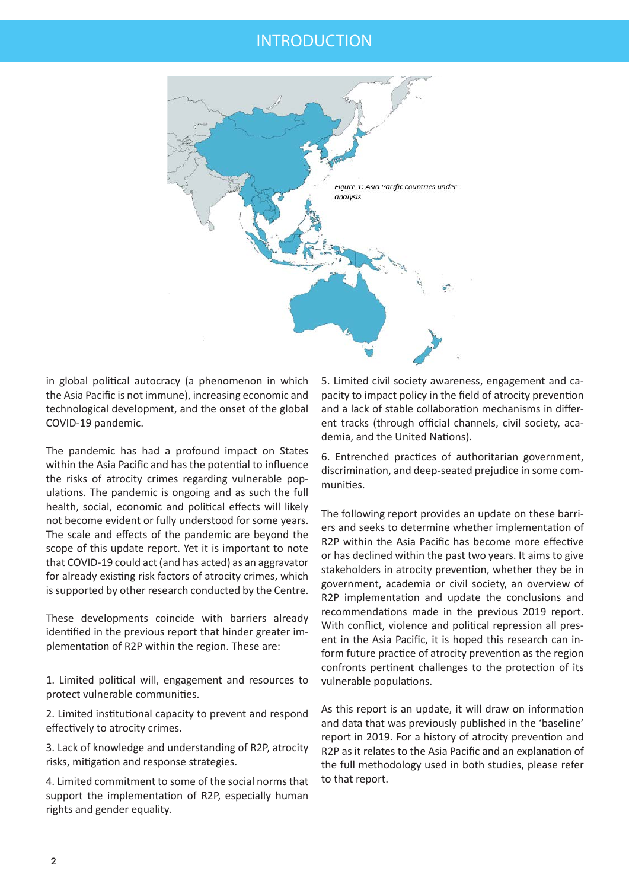### INTRODUCTION



in global political autocracy (a phenomenon in which the Asia Pacific is not immune), increasing economic and technological development, and the onset of the global COVID-19 pandemic.

The pandemic has had a profound impact on States within the Asia Pacific and has the potential to influence the risks of atrocity crimes regarding vulnerable populations. The pandemic is ongoing and as such the full health, social, economic and political effects will likely not become evident or fully understood for some years. The scale and effects of the pandemic are beyond the scope of this update report. Yet it is important to note that COVID-19 could act (and has acted) as an aggravator for already existing risk factors of atrocity crimes, which is supported by other research conducted by the Centre.

These developments coincide with barriers already identified in the previous report that hinder greater implementation of R2P within the region. These are:

1. Limited political will, engagement and resources to protect vulnerable communities.

2. Limited institutional capacity to prevent and respond effectively to atrocity crimes.

3. Lack of knowledge and understanding of R2P, atrocity risks, mitigation and response strategies.

4. Limited commitment to some of the social norms that support the implementation of R2P, especially human rights and gender equality.

5. Limited civil society awareness, engagement and capacity to impact policy in the field of atrocity prevention and a lack of stable collaboration mechanisms in different tracks (through official channels, civil society, academia, and the United Nations).

6. Entrenched practices of authoritarian government, discrimination, and deep-seated prejudice in some communities.

The following report provides an update on these barriers and seeks to determine whether implementation of R2P within the Asia Pacific has become more effective or has declined within the past two years. It aims to give stakeholders in atrocity prevention, whether they be in government, academia or civil society, an overview of R2P implementation and update the conclusions and recommendations made in the previous 2019 report. With conflict, violence and political repression all present in the Asia Pacific, it is hoped this research can inform future practice of atrocity prevention as the region confronts pertinent challenges to the protection of its vulnerable populations.

As this report is an update, it will draw on information and data that was previously published in the 'baseline' report in 2019. For a history of atrocity prevention and R2P as it relates to the Asia Pacific and an explanation of the full methodology used in both studies, please refer to that report.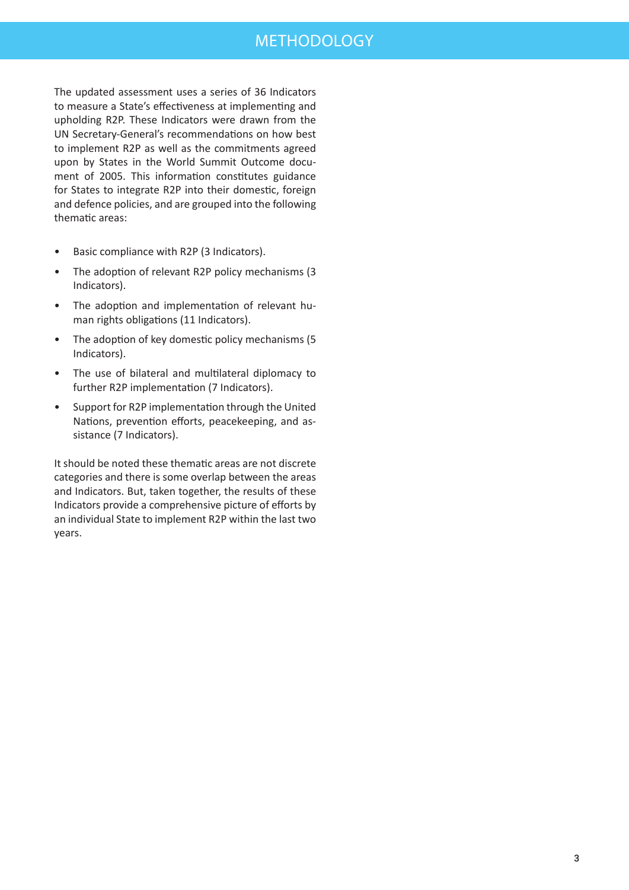# METHODOLOGY

The updated assessment uses a series of 36 Indicators to measure a State's effectiveness at implementing and upholding R2P. These Indicators were drawn from the UN Secretary-General's recommendations on how best to implement R2P as well as the commitments agreed upon by States in the World Summit Outcome document of 2005. This information constitutes guidance for States to integrate R2P into their domestic, foreign and defence policies, and are grouped into the following thematic areas:

- Basic compliance with R2P (3 Indicators).
- The adoption of relevant R2P policy mechanisms (3 Indicators).
- The adoption and implementation of relevant human rights obligations (11 Indicators).
- The adoption of key domestic policy mechanisms (5 Indicators).
- The use of bilateral and multilateral diplomacy to further R2P implementation (7 Indicators).
- Support for R2P implementation through the United Nations, prevention efforts, peacekeeping, and assistance (7 Indicators).

It should be noted these thematic areas are not discrete categories and there is some overlap between the areas and Indicators. But, taken together, the results of these Indicators provide a comprehensive picture of efforts by an individual State to implement R2P within the last two years.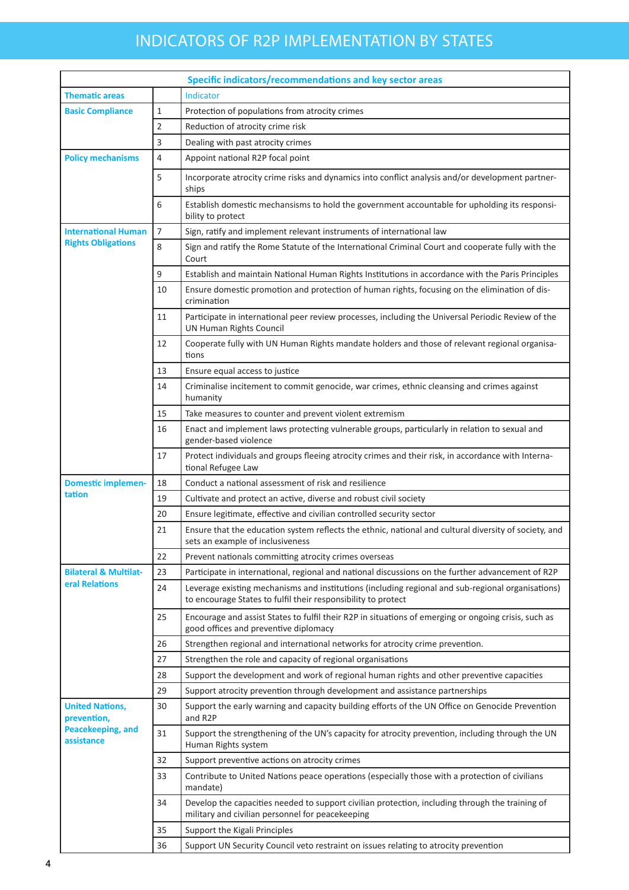# INDICATORS OF R2P IMPLEMENTATION BY STATES

|                                       |                | Specific indicators/recommendations and key sector areas                                                                                                           |  |  |  |
|---------------------------------------|----------------|--------------------------------------------------------------------------------------------------------------------------------------------------------------------|--|--|--|
| <b>Thematic areas</b>                 |                | <b>Indicator</b>                                                                                                                                                   |  |  |  |
| <b>Basic Compliance</b>               | 1              | Protection of populations from atrocity crimes                                                                                                                     |  |  |  |
|                                       | 2              | Reduction of atrocity crime risk                                                                                                                                   |  |  |  |
|                                       | 3              | Dealing with past atrocity crimes                                                                                                                                  |  |  |  |
| <b>Policy mechanisms</b>              | 4              | Appoint national R2P focal point                                                                                                                                   |  |  |  |
|                                       | 5              | Incorporate atrocity crime risks and dynamics into conflict analysis and/or development partner-<br>ships                                                          |  |  |  |
|                                       | 6              | Establish domestic mechansisms to hold the government accountable for upholding its responsi-<br>bility to protect                                                 |  |  |  |
| <b>International Human</b>            | $\overline{7}$ | Sign, ratify and implement relevant instruments of international law                                                                                               |  |  |  |
| <b>Rights Obligations</b>             | 8              | Sign and ratify the Rome Statute of the International Criminal Court and cooperate fully with the<br>Court                                                         |  |  |  |
|                                       | 9              | Establish and maintain National Human Rights Institutions in accordance with the Paris Principles                                                                  |  |  |  |
|                                       | 10             | Ensure domestic promotion and protection of human rights, focusing on the elimination of dis-<br>crimination                                                       |  |  |  |
|                                       | 11             | Participate in international peer review processes, including the Universal Periodic Review of the<br><b>UN Human Rights Council</b>                               |  |  |  |
|                                       | 12             | Cooperate fully with UN Human Rights mandate holders and those of relevant regional organisa-<br>tions                                                             |  |  |  |
|                                       | 13             | Ensure equal access to justice                                                                                                                                     |  |  |  |
|                                       | 14             | Criminalise incitement to commit genocide, war crimes, ethnic cleansing and crimes against<br>humanity                                                             |  |  |  |
|                                       | 15             | Take measures to counter and prevent violent extremism                                                                                                             |  |  |  |
|                                       | 16             | Enact and implement laws protecting vulnerable groups, particularly in relation to sexual and<br>gender-based violence                                             |  |  |  |
|                                       | 17             | Protect individuals and groups fleeing atrocity crimes and their risk, in accordance with Interna-<br>tional Refugee Law                                           |  |  |  |
| <b>Domestic implemen-</b>             | 18             | Conduct a national assessment of risk and resilience                                                                                                               |  |  |  |
| tation                                | 19             | Cultivate and protect an active, diverse and robust civil society                                                                                                  |  |  |  |
|                                       | 20             | Ensure legitimate, effective and civilian controlled security sector                                                                                               |  |  |  |
|                                       | 21             | Ensure that the education system reflects the ethnic, national and cultural diversity of society, and<br>sets an example of inclusiveness                          |  |  |  |
|                                       | 22             | Prevent nationals committing atrocity crimes overseas                                                                                                              |  |  |  |
| <b>Bilateral &amp; Multilat-</b>      | 23             | Participate in international, regional and national discussions on the further advancement of R2P                                                                  |  |  |  |
| eral Relations                        | 24             | Leverage existing mechanisms and institutions (including regional and sub-regional organisations)<br>to encourage States to fulfil their responsibility to protect |  |  |  |
|                                       | 25             | Encourage and assist States to fulfil their R2P in situations of emerging or ongoing crisis, such as<br>good offices and preventive diplomacy                      |  |  |  |
|                                       | 26             | Strengthen regional and international networks for atrocity crime prevention.                                                                                      |  |  |  |
|                                       | 27             | Strengthen the role and capacity of regional organisations                                                                                                         |  |  |  |
|                                       | 28             | Support the development and work of regional human rights and other preventive capacities                                                                          |  |  |  |
|                                       | 29             | Support atrocity prevention through development and assistance partnerships                                                                                        |  |  |  |
| <b>United Nations,</b><br>prevention, | 30             | Support the early warning and capacity building efforts of the UN Office on Genocide Prevention<br>and R2P                                                         |  |  |  |
| Peacekeeping, and<br>assistance       | 31             | Support the strengthening of the UN's capacity for atrocity prevention, including through the UN<br>Human Rights system                                            |  |  |  |
|                                       | 32             | Support preventive actions on atrocity crimes                                                                                                                      |  |  |  |
|                                       | 33             | Contribute to United Nations peace operations (especially those with a protection of civilians<br>mandate)                                                         |  |  |  |
|                                       | 34             | Develop the capacities needed to support civilian protection, including through the training of<br>military and civilian personnel for peacekeeping                |  |  |  |
|                                       | 35             | Support the Kigali Principles                                                                                                                                      |  |  |  |
|                                       | 36             | Support UN Security Council veto restraint on issues relating to atrocity prevention                                                                               |  |  |  |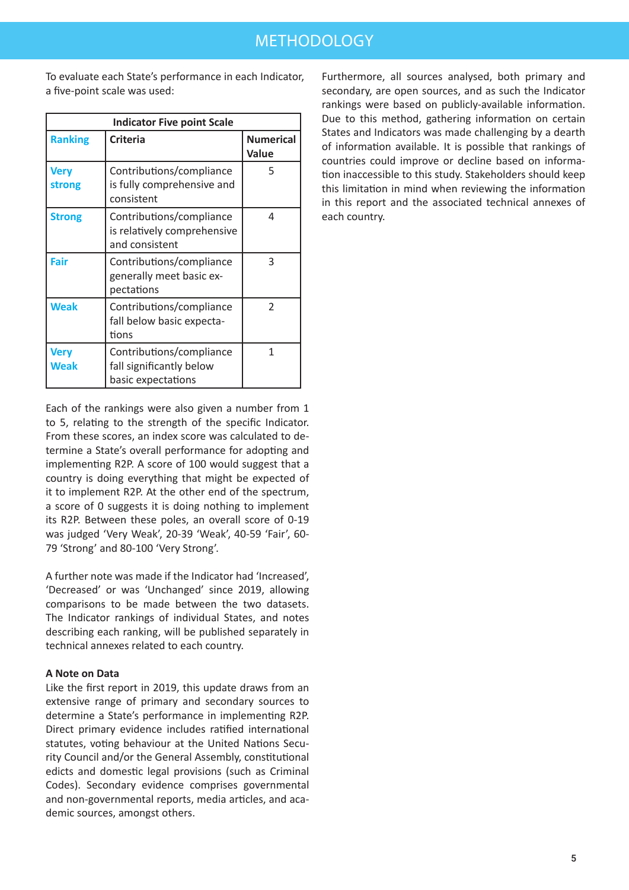To evaluate each State's performance in each Indicator, a five-point scale was used:

| <b>Indicator Five point Scale</b> |                                                                            |                           |  |
|-----------------------------------|----------------------------------------------------------------------------|---------------------------|--|
| <b>Ranking</b>                    | <b>Criteria</b>                                                            | <b>Numerical</b><br>Value |  |
| <b>Very</b><br>strong             | Contributions/compliance<br>is fully comprehensive and<br>consistent       | 5                         |  |
| <b>Strong</b>                     | Contributions/compliance<br>is relatively comprehensive<br>and consistent  | 4                         |  |
| Fair                              | Contributions/compliance<br>generally meet basic ex-<br>pectations         | 3                         |  |
| <b>Weak</b>                       | Contributions/compliance<br>fall below basic expecta-<br>tions             | $\mathfrak{D}$            |  |
| <b>Very</b><br><b>Weak</b>        | Contributions/compliance<br>fall significantly below<br>basic expectations | 1                         |  |

Each of the rankings were also given a number from 1 to 5, relating to the strength of the specific Indicator. From these scores, an index score was calculated to determine a State's overall performance for adopting and implementing R2P. A score of 100 would suggest that a country is doing everything that might be expected of it to implement R2P. At the other end of the spectrum, a score of 0 suggests it is doing nothing to implement its R2P. Between these poles, an overall score of 0-19 was judged 'Very Weak', 20-39 'Weak', 40-59 'Fair', 60- 79 'Strong' and 80-100 'Very Strong'.

A further note was made if the Indicator had 'Increased', 'Decreased' or was 'Unchanged' since 2019, allowing comparisons to be made between the two datasets. The Indicator rankings of individual States, and notes describing each ranking, will be published separately in technical annexes related to each country.

#### **A Note on Data**

Like the first report in 2019, this update draws from an extensive range of primary and secondary sources to determine a State's performance in implementing R2P. Direct primary evidence includes ratified international statutes, voting behaviour at the United Nations Security Council and/or the General Assembly, constitutional edicts and domestic legal provisions (such as Criminal Codes). Secondary evidence comprises governmental and non-governmental reports, media articles, and academic sources, amongst others.

Furthermore, all sources analysed, both primary and secondary, are open sources, and as such the Indicator rankings were based on publicly-available information. Due to this method, gathering information on certain States and Indicators was made challenging by a dearth of information available. It is possible that rankings of countries could improve or decline based on information inaccessible to this study. Stakeholders should keep this limitation in mind when reviewing the information in this report and the associated technical annexes of each country.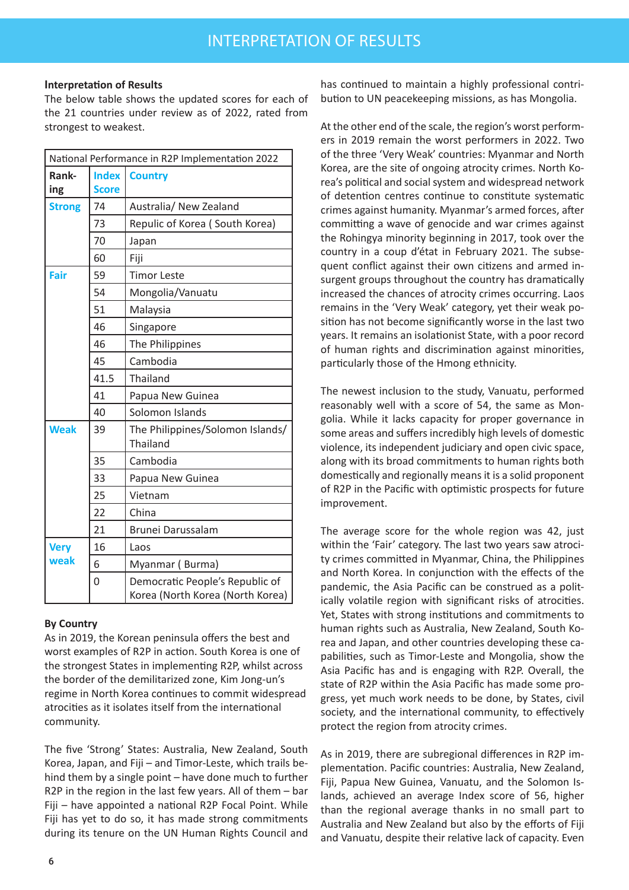#### **Interpretation of Results**

The below table shows the updated scores for each of the 21 countries under review as of 2022, rated from strongest to weakest.

| National Performance in R2P Implementation 2022 |              |                                                                     |  |  |
|-------------------------------------------------|--------------|---------------------------------------------------------------------|--|--|
| Rank-                                           | <b>Index</b> | <b>Country</b>                                                      |  |  |
| ing                                             | <b>Score</b> |                                                                     |  |  |
| <b>Strong</b>                                   | 74           | Australia/ New Zealand                                              |  |  |
|                                                 | 73           | Repulic of Korea (South Korea)                                      |  |  |
|                                                 | 70           | Japan                                                               |  |  |
|                                                 | 60           | Fiji                                                                |  |  |
| Fair                                            | 59           | <b>Timor Leste</b>                                                  |  |  |
|                                                 | 54           | Mongolia/Vanuatu                                                    |  |  |
|                                                 | 51           | Malaysia                                                            |  |  |
|                                                 | 46           | Singapore                                                           |  |  |
|                                                 | 46           | The Philippines                                                     |  |  |
| 45                                              |              | Cambodia                                                            |  |  |
|                                                 | 41.5         | Thailand                                                            |  |  |
|                                                 | 41           | Papua New Guinea                                                    |  |  |
|                                                 | 40           | Solomon Islands                                                     |  |  |
| <b>Weak</b><br>39                               |              | The Philippines/Solomon Islands/<br><b>Thailand</b>                 |  |  |
|                                                 | 35           | Cambodia                                                            |  |  |
|                                                 | 33           | Papua New Guinea                                                    |  |  |
|                                                 | 25           | Vietnam                                                             |  |  |
|                                                 | 22           | China                                                               |  |  |
|                                                 | 21           | Brunei Darussalam                                                   |  |  |
| <b>Very</b>                                     | 16           | Laos                                                                |  |  |
| weak                                            | 6            | Myanmar (Burma)                                                     |  |  |
|                                                 | 0            | Democratic People's Republic of<br>Korea (North Korea (North Korea) |  |  |

### **By Country**

As in 2019, the Korean peninsula offers the best and worst examples of R2P in action. South Korea is one of the strongest States in implementing R2P, whilst across the border of the demilitarized zone, Kim Jong-un's regime in North Korea continues to commit widespread atrocities as it isolates itself from the international community.

The five 'Strong' States: Australia, New Zealand, South Korea, Japan, and Fiji – and Timor-Leste, which trails behind them by a single point – have done much to further R2P in the region in the last few years. All of them – bar Fiji – have appointed a national R2P Focal Point. While Fiji has yet to do so, it has made strong commitments during its tenure on the UN Human Rights Council and has continued to maintain a highly professional contribution to UN peacekeeping missions, as has Mongolia.

At the other end of the scale, the region's worst performers in 2019 remain the worst performers in 2022. Two of the three 'Very Weak' countries: Myanmar and North Korea, are the site of ongoing atrocity crimes. North Korea's political and social system and widespread network of detention centres continue to constitute systematic crimes against humanity. Myanmar's armed forces, after committing a wave of genocide and war crimes against the Rohingya minority beginning in 2017, took over the country in a coup d'état in February 2021. The subsequent conflict against their own citizens and armed insurgent groups throughout the country has dramatically increased the chances of atrocity crimes occurring. Laos remains in the 'Very Weak' category, yet their weak position has not become significantly worse in the last two years. It remains an isolationist State, with a poor record of human rights and discrimination against minorities, particularly those of the Hmong ethnicity.

The newest inclusion to the study, Vanuatu, performed reasonably well with a score of 54, the same as Mongolia. While it lacks capacity for proper governance in some areas and suffers incredibly high levels of domestic violence, its independent judiciary and open civic space, along with its broad commitments to human rights both domestically and regionally means it is a solid proponent of R2P in the Pacific with optimistic prospects for future improvement.

The average score for the whole region was 42, just within the 'Fair' category. The last two years saw atrocity crimes committed in Myanmar, China, the Philippines and North Korea. In conjunction with the effects of the pandemic, the Asia Pacific can be construed as a politically volatile region with significant risks of atrocities. Yet, States with strong institutions and commitments to human rights such as Australia, New Zealand, South Korea and Japan, and other countries developing these capabilities, such as Timor-Leste and Mongolia, show the Asia Pacific has and is engaging with R2P. Overall, the state of R2P within the Asia Pacific has made some progress, yet much work needs to be done, by States, civil society, and the international community, to effectively protect the region from atrocity crimes.

As in 2019, there are subregional differences in R2P implementation. Pacific countries: Australia, New Zealand, Fiji, Papua New Guinea, Vanuatu, and the Solomon Islands, achieved an average Index score of 56, higher than the regional average thanks in no small part to Australia and New Zealand but also by the efforts of Fiji and Vanuatu, despite their relative lack of capacity. Even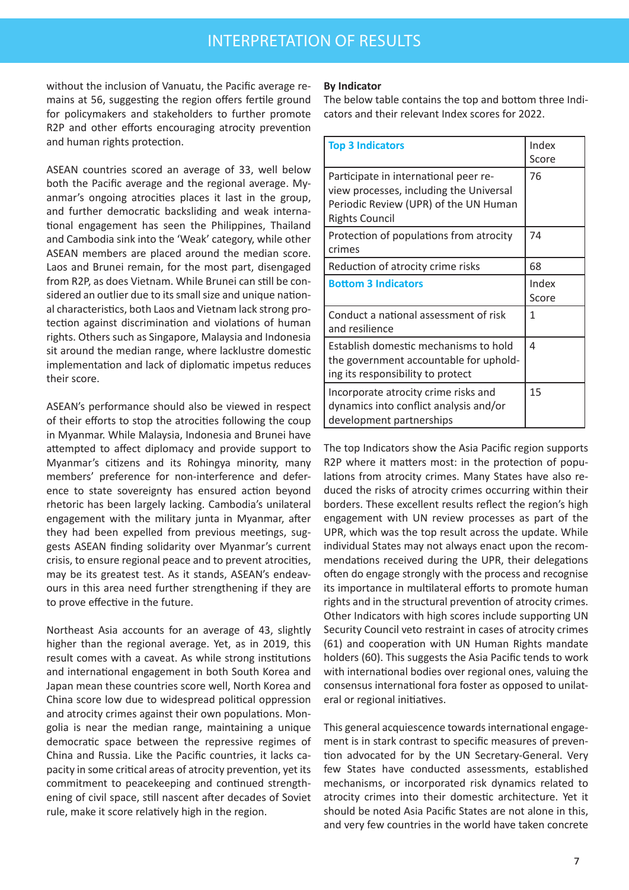without the inclusion of Vanuatu, the Pacific average remains at 56, suggesting the region offers fertile ground for policymakers and stakeholders to further promote R2P and other efforts encouraging atrocity prevention and human rights protection.

ASEAN countries scored an average of 33, well below both the Pacific average and the regional average. Myanmar's ongoing atrocities places it last in the group, and further democratic backsliding and weak international engagement has seen the Philippines, Thailand and Cambodia sink into the 'Weak' category, while other ASEAN members are placed around the median score. Laos and Brunei remain, for the most part, disengaged from R2P, as does Vietnam. While Brunei can still be considered an outlier due to its small size and unique national characteristics, both Laos and Vietnam lack strong protection against discrimination and violations of human rights. Others such as Singapore, Malaysia and Indonesia sit around the median range, where lacklustre domestic implementation and lack of diplomatic impetus reduces their score.

ASEAN's performance should also be viewed in respect of their efforts to stop the atrocities following the coup in Myanmar. While Malaysia, Indonesia and Brunei have attempted to affect diplomacy and provide support to Myanmar's citizens and its Rohingya minority, many members' preference for non-interference and deference to state sovereignty has ensured action beyond rhetoric has been largely lacking. Cambodia's unilateral engagement with the military junta in Myanmar, after they had been expelled from previous meetings, suggests ASEAN finding solidarity over Myanmar's current crisis, to ensure regional peace and to prevent atrocities, may be its greatest test. As it stands, ASEAN's endeavours in this area need further strengthening if they are to prove effective in the future.

Northeast Asia accounts for an average of 43, slightly higher than the regional average. Yet, as in 2019, this result comes with a caveat. As while strong institutions and international engagement in both South Korea and Japan mean these countries score well, North Korea and China score low due to widespread political oppression and atrocity crimes against their own populations. Mongolia is near the median range, maintaining a unique democratic space between the repressive regimes of China and Russia. Like the Pacific countries, it lacks capacity in some critical areas of atrocity prevention, yet its commitment to peacekeeping and continued strengthening of civil space, still nascent after decades of Soviet rule, make it score relatively high in the region.

#### **By Indicator**

The below table contains the top and bottom three Indicators and their relevant Index scores for 2022.

| <b>Top 3 Indicators</b>                                                                                                                            | Index<br>Score |
|----------------------------------------------------------------------------------------------------------------------------------------------------|----------------|
| Participate in international peer re-<br>view processes, including the Universal<br>Periodic Review (UPR) of the UN Human<br><b>Rights Council</b> | 76             |
| Protection of populations from atrocity<br>crimes                                                                                                  | 74             |
| Reduction of atrocity crime risks                                                                                                                  | 68             |
| <b>Bottom 3 Indicators</b>                                                                                                                         | Index<br>Score |
| Conduct a national assessment of risk<br>and resilience                                                                                            | 1              |
| Establish domestic mechanisms to hold<br>the government accountable for uphold-<br>ing its responsibility to protect                               | 4              |
| Incorporate atrocity crime risks and<br>dynamics into conflict analysis and/or<br>development partnerships                                         | 15             |

The top Indicators show the Asia Pacific region supports R2P where it matters most: in the protection of populations from atrocity crimes. Many States have also reduced the risks of atrocity crimes occurring within their borders. These excellent results reflect the region's high engagement with UN review processes as part of the UPR, which was the top result across the update. While individual States may not always enact upon the recommendations received during the UPR, their delegations often do engage strongly with the process and recognise its importance in multilateral efforts to promote human rights and in the structural prevention of atrocity crimes. Other Indicators with high scores include supporting UN Security Council veto restraint in cases of atrocity crimes (61) and cooperation with UN Human Rights mandate holders (60). This suggests the Asia Pacific tends to work with international bodies over regional ones, valuing the consensus international fora foster as opposed to unilateral or regional initiatives.

This general acquiescence towards international engagement is in stark contrast to specific measures of prevention advocated for by the UN Secretary-General. Very few States have conducted assessments, established mechanisms, or incorporated risk dynamics related to atrocity crimes into their domestic architecture. Yet it should be noted Asia Pacific States are not alone in this, and very few countries in the world have taken concrete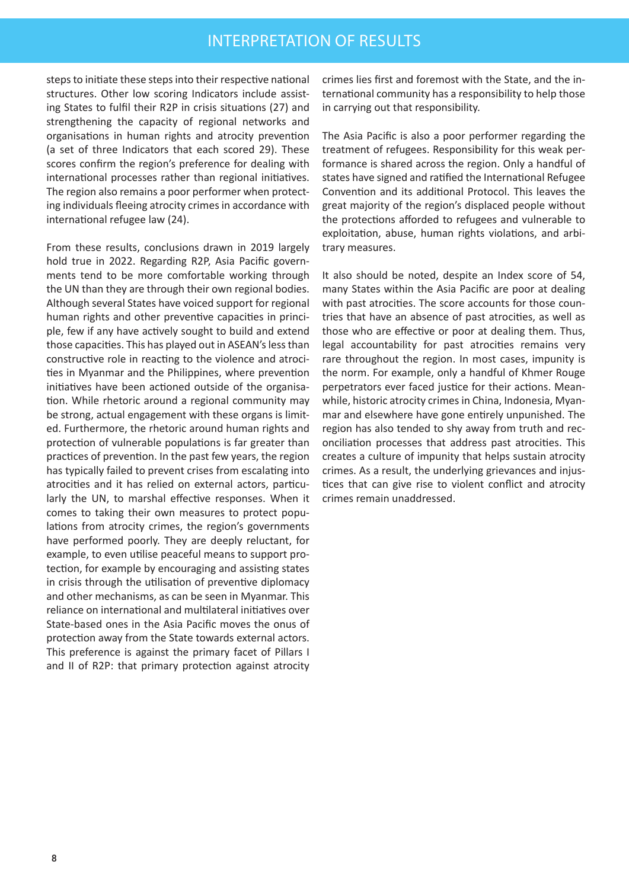steps to initiate these steps into their respective national structures. Other low scoring Indicators include assisting States to fulfil their R2P in crisis situations (27) and strengthening the capacity of regional networks and organisations in human rights and atrocity prevention (a set of three Indicators that each scored 29). These scores confirm the region's preference for dealing with international processes rather than regional initiatives. The region also remains a poor performer when protecting individuals fleeing atrocity crimes in accordance with international refugee law (24).

From these results, conclusions drawn in 2019 largely hold true in 2022. Regarding R2P, Asia Pacific governments tend to be more comfortable working through the UN than they are through their own regional bodies. Although several States have voiced support for regional human rights and other preventive capacities in principle, few if any have actively sought to build and extend those capacities. This has played out in ASEAN's less than constructive role in reacting to the violence and atrocities in Myanmar and the Philippines, where prevention initiatives have been actioned outside of the organisation. While rhetoric around a regional community may be strong, actual engagement with these organs is limited. Furthermore, the rhetoric around human rights and protection of vulnerable populations is far greater than practices of prevention. In the past few years, the region has typically failed to prevent crises from escalating into atrocities and it has relied on external actors, particularly the UN, to marshal effective responses. When it comes to taking their own measures to protect populations from atrocity crimes, the region's governments have performed poorly. They are deeply reluctant, for example, to even utilise peaceful means to support protection, for example by encouraging and assisting states in crisis through the utilisation of preventive diplomacy and other mechanisms, as can be seen in Myanmar. This reliance on international and multilateral initiatives over State-based ones in the Asia Pacific moves the onus of protection away from the State towards external actors. This preference is against the primary facet of Pillars I and II of R2P: that primary protection against atrocity

crimes lies first and foremost with the State, and the international community has a responsibility to help those in carrying out that responsibility.

The Asia Pacific is also a poor performer regarding the treatment of refugees. Responsibility for this weak performance is shared across the region. Only a handful of states have signed and ratified the International Refugee Convention and its additional Protocol. This leaves the great majority of the region's displaced people without the protections afforded to refugees and vulnerable to exploitation, abuse, human rights violations, and arbitrary measures.

It also should be noted, despite an Index score of 54, many States within the Asia Pacific are poor at dealing with past atrocities. The score accounts for those countries that have an absence of past atrocities, as well as those who are effective or poor at dealing them. Thus, legal accountability for past atrocities remains very rare throughout the region. In most cases, impunity is the norm. For example, only a handful of Khmer Rouge perpetrators ever faced justice for their actions. Meanwhile, historic atrocity crimes in China, Indonesia, Myanmar and elsewhere have gone entirely unpunished. The region has also tended to shy away from truth and reconciliation processes that address past atrocities. This creates a culture of impunity that helps sustain atrocity crimes. As a result, the underlying grievances and injustices that can give rise to violent conflict and atrocity crimes remain unaddressed.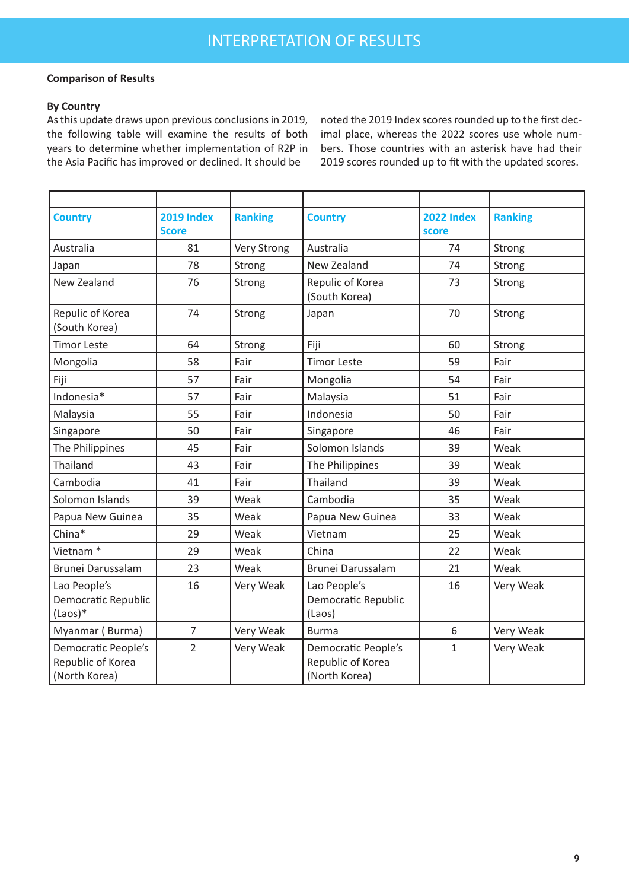#### **Comparison of Results**

### **By Country**

As this update draws upon previous conclusions in 2019, the following table will examine the results of both years to determine whether implementation of R2P in the Asia Pacific has improved or declined. It should be

noted the 2019 Index scores rounded up to the first decimal place, whereas the 2022 scores use whole numbers. Those countries with an asterisk have had their 2019 scores rounded up to fit with the updated scores.

| <b>Country</b>                                            | <b>2019 Index</b><br><b>Score</b> | <b>Ranking</b> | <b>Country</b>                                                   | <b>2022 Index</b><br>score | <b>Ranking</b> |
|-----------------------------------------------------------|-----------------------------------|----------------|------------------------------------------------------------------|----------------------------|----------------|
| Australia                                                 | 81                                | Very Strong    | Australia                                                        | 74                         | Strong         |
| Japan                                                     | 78                                | Strong         | New Zealand                                                      | 74                         | Strong         |
| New Zealand                                               | 76                                | Strong         | Repulic of Korea<br>(South Korea)                                | 73                         | Strong         |
| Repulic of Korea<br>(South Korea)                         | 74                                | Strong         | Japan                                                            | 70                         | Strong         |
| <b>Timor Leste</b>                                        | 64                                | Strong         | Fiji                                                             | 60                         | Strong         |
| Mongolia                                                  | 58                                | Fair           | <b>Timor Leste</b>                                               | 59                         | Fair           |
| Fiji                                                      | 57                                | Fair           | Mongolia                                                         | 54                         | Fair           |
| Indonesia*                                                | 57                                | Fair           | Malaysia                                                         | 51                         | Fair           |
| Malaysia                                                  | 55                                | Fair           | Indonesia                                                        | 50                         | Fair           |
| Singapore                                                 | 50                                | Fair           | Singapore                                                        | 46                         | Fair           |
| The Philippines                                           | 45                                | Fair           | Solomon Islands                                                  | 39                         | Weak           |
| Thailand                                                  | 43                                | Fair           | The Philippines                                                  | 39                         | Weak           |
| Cambodia                                                  | 41                                | Fair           | <b>Thailand</b>                                                  | 39                         | Weak           |
| Solomon Islands                                           | 39                                | Weak           | Cambodia                                                         | 35                         | Weak           |
| Papua New Guinea                                          | 35                                | Weak           | Papua New Guinea                                                 | 33                         | Weak           |
| China*                                                    | 29                                | Weak           | Vietnam                                                          | 25                         | Weak           |
| Vietnam <sup>*</sup>                                      | 29                                | Weak           | China                                                            | 22                         | Weak           |
| Brunei Darussalam                                         | 23                                | Weak           | Brunei Darussalam                                                | 21                         | Weak           |
| Lao People's<br>Democratic Republic<br>$(Laos)*$          | 16                                | Very Weak      | Lao People's<br>Democratic Republic<br>(Laos)                    | 16                         | Very Weak      |
| Myanmar (Burma)                                           | $\overline{7}$                    | Very Weak      | <b>Burma</b>                                                     | 6                          | Very Weak      |
| Democratic People's<br>Republic of Korea<br>(North Korea) | $\overline{2}$                    | Very Weak      | <b>Democratic People's</b><br>Republic of Korea<br>(North Korea) | 1                          | Very Weak      |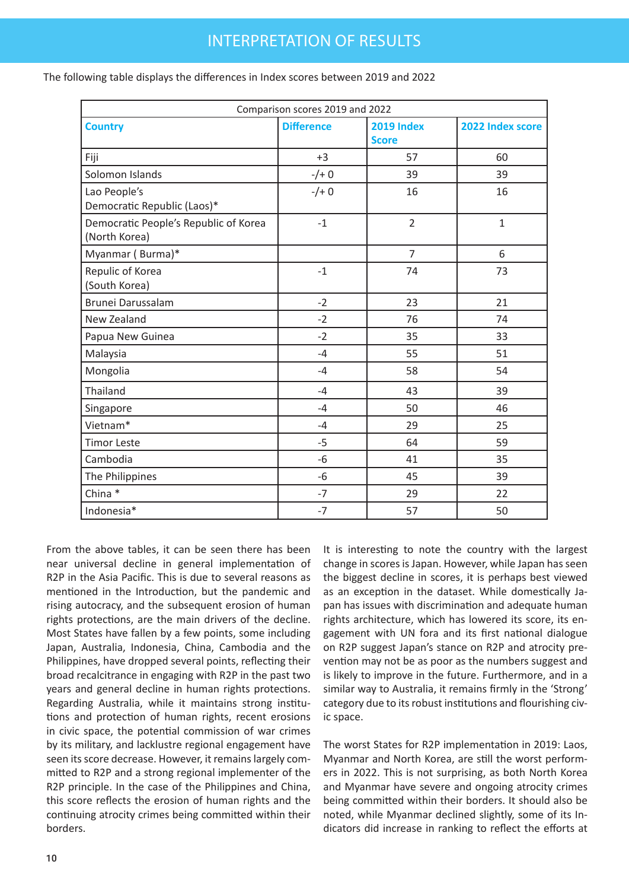| The following table displays the differences in Index scores between 2019 and 2022 |  |
|------------------------------------------------------------------------------------|--|
|------------------------------------------------------------------------------------|--|

| Comparison scores 2019 and 2022                        |                   |                                   |                  |  |
|--------------------------------------------------------|-------------------|-----------------------------------|------------------|--|
| <b>Country</b>                                         | <b>Difference</b> | <b>2019 Index</b><br><b>Score</b> | 2022 Index score |  |
| Fiji                                                   | $+3$              | 57                                | 60               |  |
| Solomon Islands                                        | $-/+ 0$           | 39                                | 39               |  |
| Lao People's<br>Democratic Republic (Laos)*            | $-/+ 0$           | 16                                | 16               |  |
| Democratic People's Republic of Korea<br>(North Korea) | $-1$              | $\overline{2}$                    | $\mathbf 1$      |  |
| Myanmar (Burma)*                                       |                   | $\overline{7}$                    | 6                |  |
| Repulic of Korea<br>(South Korea)                      | $-1$              | 74                                | 73               |  |
| <b>Brunei Darussalam</b>                               | $-2$              | 23                                | 21               |  |
| New Zealand                                            | $-2$              | 76                                | 74               |  |
| Papua New Guinea                                       | $-2$              | 35                                | 33               |  |
| Malaysia                                               | $-4$              | 55                                | 51               |  |
| Mongolia                                               | $-4$              | 58                                | 54               |  |
| Thailand                                               | $-4$              | 43                                | 39               |  |
| Singapore                                              | $-4$              | 50                                | 46               |  |
| Vietnam*                                               | $-4$              | 29                                | 25               |  |
| <b>Timor Leste</b>                                     | $-5$              | 64                                | 59               |  |
| Cambodia                                               | -6                | 41                                | 35               |  |
| The Philippines                                        | $-6$              | 45                                | 39               |  |
| China *                                                | $-7$              | 29                                | 22               |  |
| Indonesia*                                             | $-7$              | 57                                | 50               |  |

From the above tables, it can be seen there has been near universal decline in general implementation of R2P in the Asia Pacific. This is due to several reasons as mentioned in the Introduction, but the pandemic and rising autocracy, and the subsequent erosion of human rights protections, are the main drivers of the decline. Most States have fallen by a few points, some including Japan, Australia, Indonesia, China, Cambodia and the Philippines, have dropped several points, reflecting their broad recalcitrance in engaging with R2P in the past two years and general decline in human rights protections. Regarding Australia, while it maintains strong institutions and protection of human rights, recent erosions in civic space, the potential commission of war crimes by its military, and lacklustre regional engagement have seen its score decrease. However, it remains largely committed to R2P and a strong regional implementer of the R2P principle. In the case of the Philippines and China, this score reflects the erosion of human rights and the continuing atrocity crimes being committed within their borders.

It is interesting to note the country with the largest change in scores is Japan. However, while Japan has seen the biggest decline in scores, it is perhaps best viewed as an exception in the dataset. While domestically Japan has issues with discrimination and adequate human rights architecture, which has lowered its score, its engagement with UN fora and its first national dialogue on R2P suggest Japan's stance on R2P and atrocity prevention may not be as poor as the numbers suggest and is likely to improve in the future. Furthermore, and in a similar way to Australia, it remains firmly in the 'Strong' category due to its robust institutions and flourishing civic space.

The worst States for R2P implementation in 2019: Laos, Myanmar and North Korea, are still the worst performers in 2022. This is not surprising, as both North Korea and Myanmar have severe and ongoing atrocity crimes being committed within their borders. It should also be noted, while Myanmar declined slightly, some of its Indicators did increase in ranking to reflect the efforts at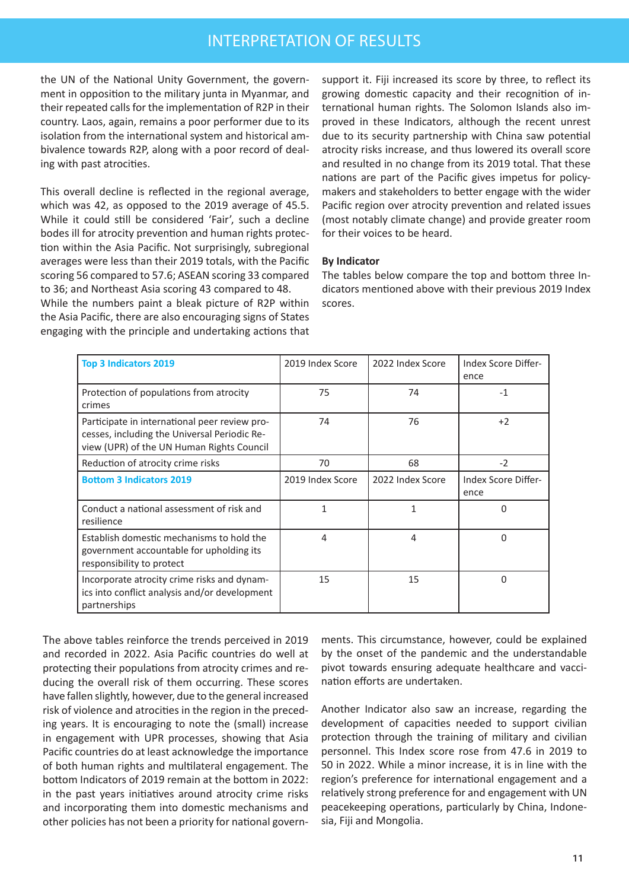the UN of the National Unity Government, the government in opposition to the military junta in Myanmar, and their repeated calls for the implementation of R2P in their country. Laos, again, remains a poor performer due to its isolation from the international system and historical ambivalence towards R2P, along with a poor record of dealing with past atrocities.

This overall decline is reflected in the regional average, which was 42, as opposed to the 2019 average of 45.5. While it could still be considered 'Fair', such a decline bodes ill for atrocity prevention and human rights protection within the Asia Pacific. Not surprisingly, subregional averages were less than their 2019 totals, with the Pacific scoring 56 compared to 57.6; ASEAN scoring 33 compared to 36; and Northeast Asia scoring 43 compared to 48.

While the numbers paint a bleak picture of R2P within the Asia Pacific, there are also encouraging signs of States engaging with the principle and undertaking actions that support it. Fiji increased its score by three, to reflect its growing domestic capacity and their recognition of international human rights. The Solomon Islands also improved in these Indicators, although the recent unrest due to its security partnership with China saw potential atrocity risks increase, and thus lowered its overall score and resulted in no change from its 2019 total. That these nations are part of the Pacific gives impetus for policymakers and stakeholders to better engage with the wider Pacific region over atrocity prevention and related issues (most notably climate change) and provide greater room for their voices to be heard.

#### **By Indicator**

The tables below compare the top and bottom three Indicators mentioned above with their previous 2019 Index scores.

| <b>Top 3 Indicators 2019</b>                                                                                                               | 2019 Index Score | 2022 Index Score | Index Score Differ-<br>ence |
|--------------------------------------------------------------------------------------------------------------------------------------------|------------------|------------------|-----------------------------|
| Protection of populations from atrocity<br>crimes                                                                                          | 75               | 74               | $-1$                        |
| Participate in international peer review pro-<br>cesses, including the Universal Periodic Re-<br>view (UPR) of the UN Human Rights Council | 74               | 76               | $+2$                        |
| Reduction of atrocity crime risks                                                                                                          | 70               | 68               | $-2$                        |
| <b>Bottom 3 Indicators 2019</b>                                                                                                            | 2019 Index Score | 2022 Index Score | Index Score Differ-<br>ence |
| Conduct a national assessment of risk and<br>resilience                                                                                    | 1                | 1                | 0                           |
| Establish domestic mechanisms to hold the<br>government accountable for upholding its<br>responsibility to protect                         | 4                | 4                | 0                           |
| Incorporate atrocity crime risks and dynam-<br>ics into conflict analysis and/or development<br>partnerships                               | 15               | 15               | 0                           |

The above tables reinforce the trends perceived in 2019 and recorded in 2022. Asia Pacific countries do well at protecting their populations from atrocity crimes and reducing the overall risk of them occurring. These scores have fallen slightly, however, due to the general increased risk of violence and atrocities in the region in the preceding years. It is encouraging to note the (small) increase in engagement with UPR processes, showing that Asia Pacific countries do at least acknowledge the importance of both human rights and multilateral engagement. The bottom Indicators of 2019 remain at the bottom in 2022: in the past years initiatives around atrocity crime risks and incorporating them into domestic mechanisms and other policies has not been a priority for national governments. This circumstance, however, could be explained by the onset of the pandemic and the understandable pivot towards ensuring adequate healthcare and vaccination efforts are undertaken.

Another Indicator also saw an increase, regarding the development of capacities needed to support civilian protection through the training of military and civilian personnel. This Index score rose from 47.6 in 2019 to 50 in 2022. While a minor increase, it is in line with the region's preference for international engagement and a relatively strong preference for and engagement with UN peacekeeping operations, particularly by China, Indonesia, Fiji and Mongolia.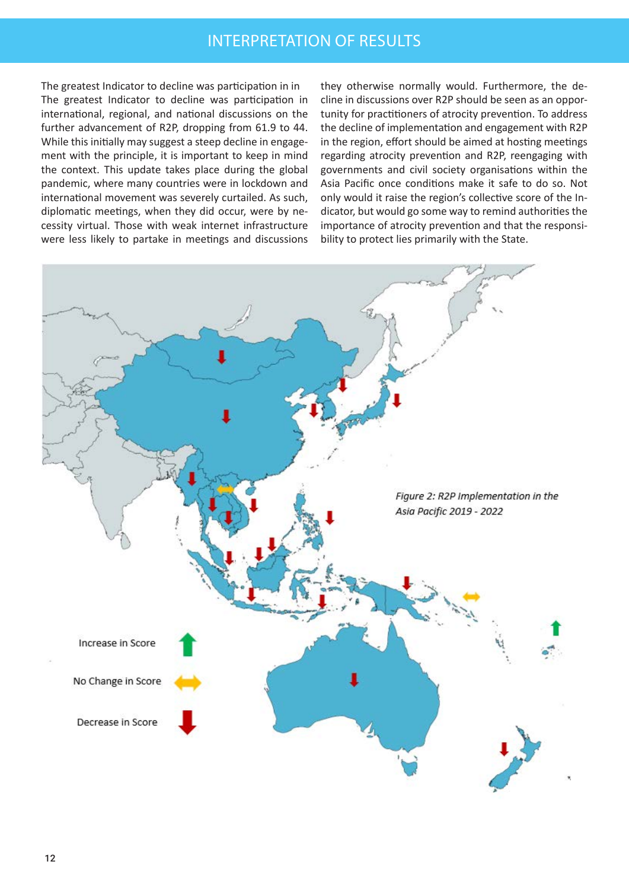The greatest Indicator to decline was participation in in The greatest Indicator to decline was participation in international, regional, and national discussions on the further advancement of R2P, dropping from 61.9 to 44. While this initially may suggest a steep decline in engagement with the principle, it is important to keep in mind the context. This update takes place during the global pandemic, where many countries were in lockdown and international movement was severely curtailed. As such, diplomatic meetings, when they did occur, were by necessity virtual. Those with weak internet infrastructure were less likely to partake in meetings and discussions

they otherwise normally would. Furthermore, the decline in discussions over R2P should be seen as an opportunity for practitioners of atrocity prevention. To address the decline of implementation and engagement with R2P in the region, effort should be aimed at hosting meetings regarding atrocity prevention and R2P, reengaging with governments and civil society organisations within the Asia Pacific once conditions make it safe to do so. Not only would it raise the region's collective score of the Indicator, but would go some way to remind authorities the importance of atrocity prevention and that the responsibility to protect lies primarily with the State.